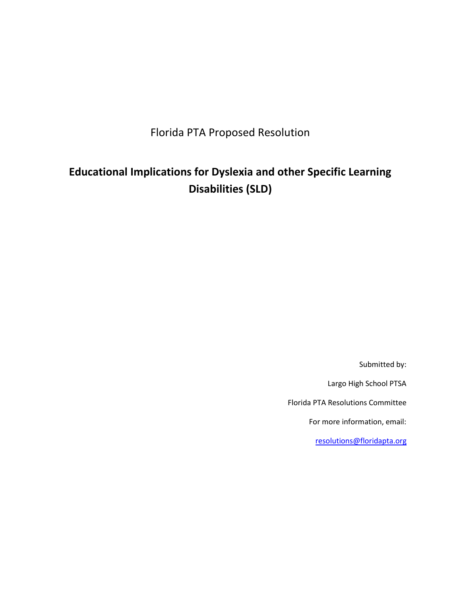Florida PTA Proposed Resolution

## **Educational Implications for Dyslexia and other Specific Learning Disabilities (SLD)**

Submitted by:

Largo High School PTSA

Florida PTA Resolutions Committee

For more information, email:

[resolutions@floridapta.org](mailto:resolutions@floridapta.org)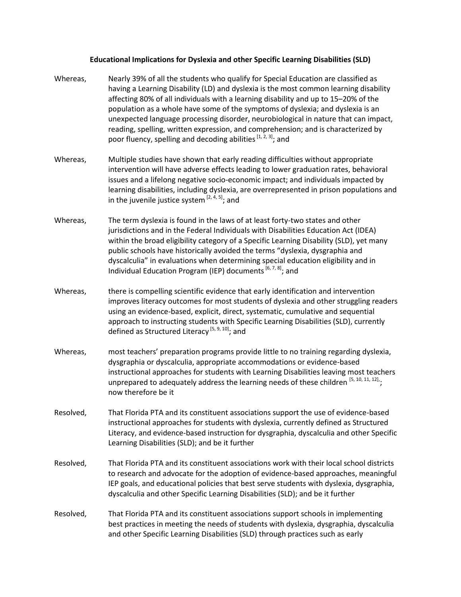## **Educational Implications for Dyslexia and other Specific Learning Disabilities (SLD)**

- Whereas, Nearly 39% of all the students who qualify for Special Education are classified as having a Learning Disability (LD) and dyslexia is the most common learning disability affecting 80% of all individuals with a learning disability and up to 15–20% of the population as a whole have some of the symptoms of dyslexia; and dyslexia is an unexpected language processing disorder, neurobiological in nature that can impact, reading, spelling, written expression, and comprehension; and is characterized by poor fluency, spelling and decoding abilities<sup>[1, 2, 3]</sup>; and
- Whereas, Multiple studies have shown that early reading difficulties without appropriate intervention will have adverse effects leading to lower graduation rates, behavioral issues and a lifelong negative socio-economic impact; and individuals impacted by learning disabilities, including dyslexia, are overrepresented in prison populations and in the juvenile justice system <sup>[2, 4, 5]</sup>; and
- Whereas, The term dyslexia is found in the laws of at least forty-two states and other jurisdictions and in the Federal Individuals with Disabilities Education Act (IDEA) within the broad eligibility category of a Specific Learning Disability (SLD), yet many public schools have historically avoided the terms "dyslexia, dysgraphia and dyscalculia" in evaluations when determining special education eligibility and in Individual Education Program (IEP) documents <sup>[6, 7, 8]</sup>; and
- Whereas, there is compelling scientific evidence that early identification and intervention improves literacy outcomes for most students of dyslexia and other struggling readers using an evidence-based, explicit, direct, systematic, cumulative and sequential approach to instructing students with Specific Learning Disabilities (SLD), currently defined as Structured Literacy <sup>[5, 9, 10]</sup>; and
- Whereas, most teachers' preparation programs provide little to no training regarding dyslexia, dysgraphia or dyscalculia, appropriate accommodations or evidence-based instructional approaches for students with Learning Disabilities leaving most teachers unprepared to adequately address the learning needs of these children  $^{[5, 10, 11, 12]}$ ; now therefore be it
- Resolved, That Florida PTA and its constituent associations support the use of evidence-based instructional approaches for students with dyslexia, currently defined as Structured Literacy, and evidence-based instruction for dysgraphia, dyscalculia and other Specific Learning Disabilities (SLD); and be it further
- Resolved, That Florida PTA and its constituent associations work with their local school districts to research and advocate for the adoption of evidence-based approaches, meaningful IEP goals, and educational policies that best serve students with dyslexia, dysgraphia, dyscalculia and other Specific Learning Disabilities (SLD); and be it further
- Resolved, That Florida PTA and its constituent associations support schools in implementing best practices in meeting the needs of students with dyslexia, dysgraphia, dyscalculia and other Specific Learning Disabilities (SLD) through practices such as early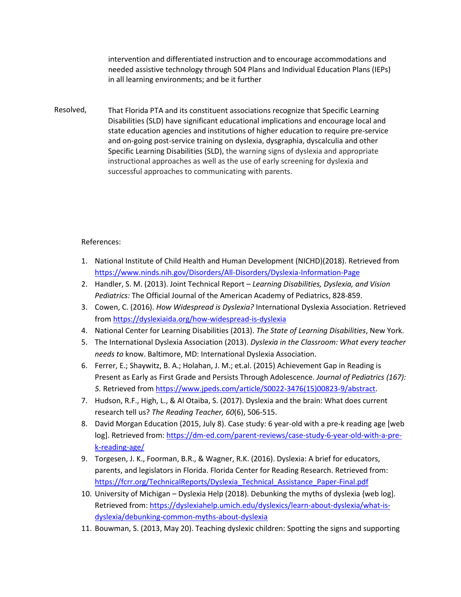intervention and differentiated instruction and to encourage accommodations and needed assistive technology through 504 Plans and Individual Education Plans (IEPs) in all learning environments; and be it further

Resolved, That Florida PTA and its constituent associations recognize that Specific Learning Disabilities (SLD) have significant educational implications and encourage local and state education agencies and institutions of higher education to require pre-service and on-going post-service training on dyslexia, dysgraphia, dyscalculia and other Specific Learning Disabilities (SLD), the warning signs of dyslexia and appropriate instructional approaches as well as the use of early screening for dyslexia and successful approaches to communicating with parents.

## References:

- 1. National Institute of Child Health and Human Development (NICHD)(2018). Retrieved from <https://www.ninds.nih.gov/Disorders/All-Disorders/Dyslexia-Information-Page>
- 2. Handler, S. M. (2013). Joint Technical Report *Learning Disabilities, Dyslexia, and Vision Pediatrics:* The Official Journal of the American Academy of Pediatrics, 828-859.
- 3. Cowen, C. (2016). *How Widespread is Dyslexia?* International Dyslexia Association. Retrieved from <https://dyslexiaida.org/how-widespread-is-dyslexia>
- 4. National Center for Learning Disabilities (2013). *The State of Learning Disabilities*, New York.
- 5. The International Dyslexia Association (2013). *Dyslexia in the Classroom: What every teacher needs to* know. Baltimore, MD: International Dyslexia Association.
- 6. Ferrer, E.; Shaywitz, B. A.; Holahan, J. M.; et.al. (2015) Achievement Gap in Reading is Present as Early as First Grade and Persists Through Adolescence. *Journal of Pediatrics (167): 5.* Retrieved from [https://www.jpeds.com/article/S0022-3476\(15\)00823-9/abstract.](https://www.jpeds.com/article/S0022-3476(15)00823-9/abstract)
- 7. Hudson, R.F., High, L., & Al Otaiba, S. (2017). Dyslexia and the brain: What does current research tell us? *The Reading Teacher, 60*(6), 506-515.
- 8. David Morgan Education (2015, July 8). Case study: 6 year-old with a pre-k reading age [web log]. Retrieved from: [https://dm-ed.com/parent-reviews/case-study-6-year-old-with-a-pre](https://dm-ed.com/parent-reviews/case-study-6-year-old-with-a-pre-k-reading-age/)[k-reading-age/](https://dm-ed.com/parent-reviews/case-study-6-year-old-with-a-pre-k-reading-age/)
- 9. Torgesen, J. K., Foorman, B.R., & Wagner, R.K. (2016). Dyslexia: A brief for educators, parents, and legislators in Florida. Florida Center for Reading Research. Retrieved from: [https://fcrr.org/TechnicalReports/Dyslexia\\_Technical\\_Assistance\\_Paper-Final.pdf](https://fcrr.org/TechnicalReports/Dyslexia_Technical_Assistance_Paper-Final.pdf)
- 10. University of Michigan Dyslexia Help (2018). Debunking the myths of dyslexia {web log]. Retrieved from: [https://dyslexiahelp.umich.edu/dyslexics/learn-about-dyslexia/what-is](https://dyslexiahelp.umich.edu/dyslexics/learn-about-dyslexia/what-is-dyslexia/debunking-common-myths-about-dyslexia)[dyslexia/debunking-common-myths-about-dyslexia](https://dyslexiahelp.umich.edu/dyslexics/learn-about-dyslexia/what-is-dyslexia/debunking-common-myths-about-dyslexia)
- 11. Bouwman, S. (2013, May 20). Teaching dyslexic children: Spotting the signs and supporting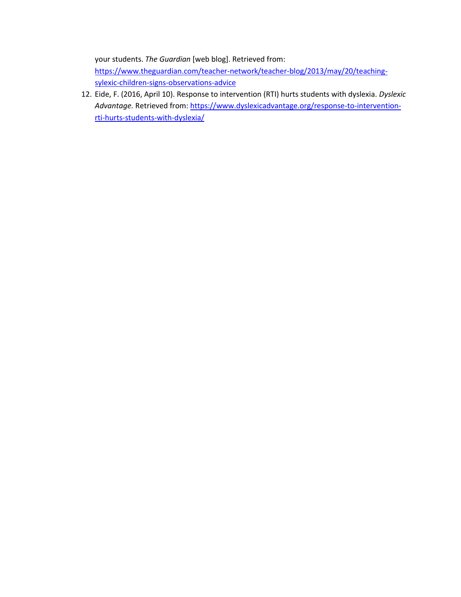your students. *The Guardian* [web blog]. Retrieved from: [https://www.theguardian.com/teacher-network/teacher-blog/2013/may/20/teaching](https://www.theguardian.com/teacher-network/teacher-blog/2013/may/20/teaching-sylexic-children-signs-observations-advice)[sylexic-children-signs-observations-advice](https://www.theguardian.com/teacher-network/teacher-blog/2013/may/20/teaching-sylexic-children-signs-observations-advice)

12. Eide, F. (2016, April 10). Response to intervention (RTI) hurts students with dyslexia. *Dyslexic*  Advantage. Retrieved from[: https://www.dyslexicadvantage.org/response-to-intervention](https://www.dyslexicadvantage.org/response-to-intervention-rti-hurts-students-with-dyslexia/)[rti-hurts-students-with-dyslexia/](https://www.dyslexicadvantage.org/response-to-intervention-rti-hurts-students-with-dyslexia/)